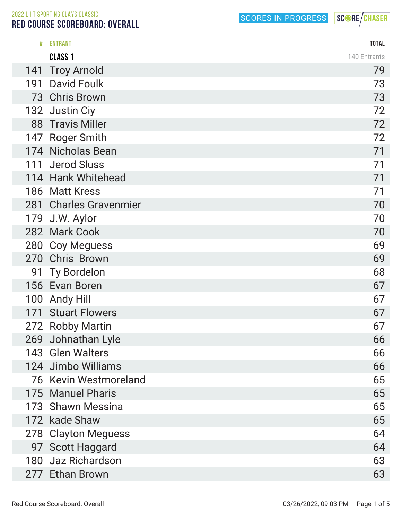2022 L.I.T SPORTING CLAYS CLASSIC

Ī

## RED COURSE SCOREBOARD: OVERALL

SCORES IN PROGRESS

|     | <b>ENTRANT</b>         | <b>TOTAL</b> |
|-----|------------------------|--------------|
|     | <b>CLASS 1</b>         | 140 Entrants |
| 141 | <b>Troy Arnold</b>     | 79           |
| 191 | <b>David Foulk</b>     | 73           |
|     | 73 Chris Brown         | 73           |
|     | 132 Justin Ciy         | 72           |
|     | 88 Travis Miller       | 72           |
|     | 147 Roger Smith        | 72           |
|     | 174 Nicholas Bean      | 71           |
|     | 111 Jerod Sluss        | 71           |
|     | 114 Hank Whitehead     | 71           |
|     | 186 Matt Kress         | 71           |
|     | 281 Charles Gravenmier | 70           |
|     | 179 J.W. Aylor         | 70           |
|     | 282 Mark Cook          | 70           |
|     | 280 Coy Meguess        | 69           |
|     | 270 Chris Brown        | 69           |
| 91  | <b>Ty Bordelon</b>     | 68           |
|     | 156 Evan Boren         | 67           |
| 100 | <b>Andy Hill</b>       | 67           |
| 171 | <b>Stuart Flowers</b>  | 67           |
| 272 | <b>Robby Martin</b>    | 67           |
|     | 269 Johnathan Lyle     | 66           |
|     | 143 Glen Walters       | 66           |
|     | 124 Jimbo Williams     | 66           |
|     | 76 Kevin Westmoreland  | 65           |
|     | 175 Manuel Pharis      | 65           |
|     | 173 Shawn Messina      | 65           |
|     | 172 kade Shaw          | 65           |
| 278 | <b>Clayton Meguess</b> | 64           |
|     | 97 Scott Haggard       | 64           |
|     | 180 Jaz Richardson     | 63           |
|     | 277 Ethan Brown        | 63           |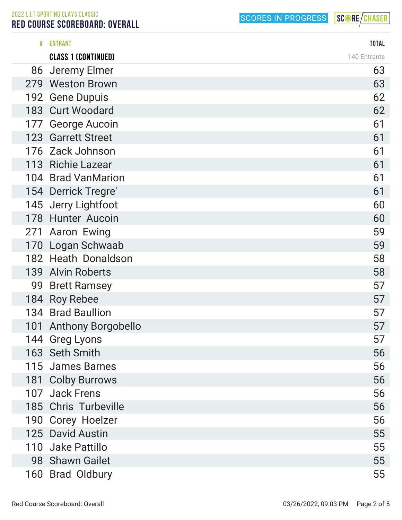2022 L.I.T SPORTING CLAYS CLASSIC RED COURSE SCOREBOARD: OVERALL

SCORES IN PROGRESS

| # | <b>ENTRANT</b>             | <b>TOTAL</b> |
|---|----------------------------|--------------|
|   | <b>CLASS 1 (CONTINUED)</b> | 140 Entrants |
|   | 86 Jeremy Elmer            | 63           |
|   | 279 Weston Brown           | 63           |
|   | 192 Gene Dupuis            | 62           |
|   | 183 Curt Woodard           | 62           |
|   | 177 George Aucoin          | 61           |
|   | 123 Garrett Street         | 61           |
|   | 176 Zack Johnson           | 61           |
|   | 113 Richie Lazear          | 61           |
|   | 104 Brad VanMarion         | 61           |
|   | 154 Derrick Tregre'        | 61           |
|   | 145 Jerry Lightfoot        | 60           |
|   | 178 Hunter Aucoin          | 60           |
|   | 271 Aaron Ewing            | 59           |
|   | 170 Logan Schwaab          | 59           |
|   | 182 Heath Donaldson        | 58           |
|   | 139 Alvin Roberts          | 58           |
|   | 99 Brett Ramsey            | 57           |
|   | 184 Roy Rebee              | 57           |
|   | 134 Brad Baullion          | 57           |
|   | 101 Anthony Borgobello     | 57           |
|   | 144 Greg Lyons             | 57           |
|   | 163 Seth Smith             | 56           |
|   | 115 James Barnes           | 56           |
|   | 181 Colby Burrows          | 56           |
|   | 107 Jack Frens             | 56           |
|   | 185 Chris Turbeville       | 56           |
|   | 190 Corey Hoelzer          | 56           |
|   | 125 David Austin           | 55           |
|   | 110 Jake Pattillo          | 55           |
|   | 98 Shawn Gailet            | 55           |
|   | 160 Brad Oldbury           | 55           |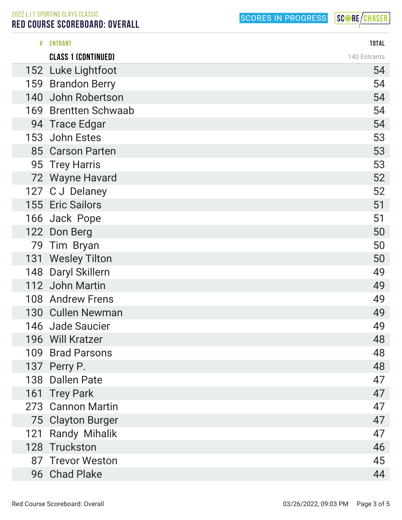2022 L.I.T SPORTING CLAYS CLASSIC RED COURSE SCOREBOARD: OVERALL

SCORES IN PROGRESS

| # | <b>ENTRANT</b>             | <b>TOTAL</b> |
|---|----------------------------|--------------|
|   | <b>CLASS 1 (CONTINUED)</b> | 140 Entrants |
|   | 152 Luke Lightfoot         | 54           |
|   | 159 Brandon Berry          | 54           |
|   | 140 John Robertson         | 54           |
|   | 169 Brentten Schwaab       | 54           |
|   | 94 Trace Edgar             | 54           |
|   | 153 John Estes             | 53           |
|   | 85 Carson Parten           | 53           |
|   | 95 Trey Harris             | 53           |
|   | 72 Wayne Havard            | 52           |
|   | 127 CJ Delaney             | 52           |
|   | 155 Eric Sailors           | 51           |
|   | 166 Jack Pope              | 51           |
|   | 122 Don Berg               | 50           |
|   | 79 Tim Bryan               | 50           |
|   | 131 Wesley Tilton          | 50           |
|   | 148 Daryl Skillern         | 49           |
|   | 112 John Martin            | 49           |
|   | 108 Andrew Frens           | 49           |
|   | 130 Cullen Newman          | 49           |
|   | 146 Jade Saucier           | 49           |
|   | 196 Will Kratzer           | 48           |
|   | 109 Brad Parsons           | 48           |
|   | 137 Perry P.               | 48           |
|   | 138 Dallen Pate            | 47           |
|   | 161 Trey Park              | 47           |
|   | 273 Cannon Martin          | 47           |
|   | 75 Clayton Burger          | 47           |
|   | 121 Randy Mihalik          | 47           |
|   | 128 Truckston              | 46           |
|   | 87 Trevor Weston           | 45           |
|   | 96 Chad Plake              | 44           |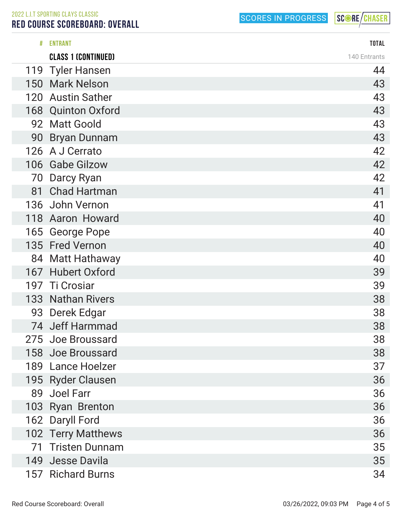2022 L.I.T SPORTING CLAYS CLASSIC

## RED COURSE SCOREBOARD: OVERALL

SCORES IN PROGRESS

| # | <b>ENTRANT</b>             | <b>TOTAL</b> |
|---|----------------------------|--------------|
|   | <b>CLASS 1 (CONTINUED)</b> | 140 Entrants |
|   | 119 Tyler Hansen           | 44           |
|   | 150 Mark Nelson            | 43           |
|   | 120 Austin Sather          | 43           |
|   | 168 Quinton Oxford         | 43           |
|   | 92 Matt Goold              | 43           |
|   | 90 Bryan Dunnam            | 43           |
|   | 126 A J Cerrato            | 42           |
|   | 106 Gabe Gilzow            | 42           |
|   | 70 Darcy Ryan              | 42           |
|   | 81 Chad Hartman            | 41           |
|   | 136 John Vernon            | 41           |
|   | 118 Aaron Howard           | 40           |
|   | 165 George Pope            | 40           |
|   | 135 Fred Vernon            | 40           |
|   | 84 Matt Hathaway           | 40           |
|   | 167 Hubert Oxford          | 39           |
|   | 197 Ti Crosiar             | 39           |
|   | 133 Nathan Rivers          | 38           |
|   | 93 Derek Edgar             | 38           |
|   | 74 Jeff Harmmad            | 38           |
|   | 275 Joe Broussard          | 38           |
|   | 158 Joe Broussard          | 38           |
|   | 189 Lance Hoelzer          | 37           |
|   | 195 Ryder Clausen          | 36           |
|   | 89 Joel Farr               | 36           |
|   | 103 Ryan Brenton           | 36           |
|   | 162 Daryll Ford            | 36           |
|   | 102 Terry Matthews         | 36           |
|   | 71 Tristen Dunnam          | 35           |
|   | 149 Jesse Davila           | 35           |
|   | 157 Richard Burns          | 34           |